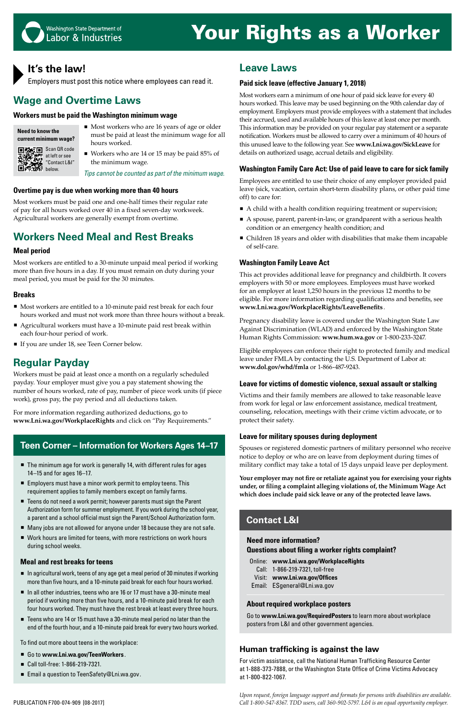**Need more information?** 

### **Questions about filing a worker rights complaint?** Online: **www.Lni.wa.gov/WorkplaceRights**

Call: 1-866-219-7321, toll-free Visit: **www.Lni.wa.gov/Offices** Email: ESgeneral@Lni.wa.gov

#### **About required workplace posters**

Go to **www.Lni.wa.gov/RequiredPosters** to learn more about workplace posters from L&I and other government agencies.

### **Contact L&I**

- $\blacksquare$  In agricultural work, teens of any age get a meal period of 30 minutes if working more than five hours, and a 10-minute paid break for each four hours worked.
- In all other industries, teens who are 16 or 17 must have a 30-minute meal period if working more than five hours, and a 10-minute paid break for each four hours worked. They must have the rest break at least every three hours.
- Teens who are 14 or 15 must have a 30-minute meal period no later than the end of the fourth hour, and a 10-minute paid break for every two hours worked.
- 
- Work hours are limited for teens, with more restrictions on work hours during school weeks.

#### **Meal and rest breaks for teens**

- Most workers who are 16 years of age or older must be paid at least the minimum wage for all hours worked.
- Workers who are 14 or 15 may be paid 85% of the minimum wage.

- Most workers are entitled to a 10-minute paid rest break for each four hours worked and must not work more than three hours without a break.
- Agricultural workers must have a 10-minute paid rest break within each four-hour period of work.
- If you are under 18, see Teen Corner below.

To find out more about teens in the workplace:

- Go to www.Lni.wa.gov/TeenWorkers.
- Call toll-free: 1-866-219-7321.
- Email a question to TeenSafety@Lni.wa.gov.

### **Teen Corner – Information for Workers Ages 14–17**

- The minimum age for work is generally 14, with different rules for ages 14–15 and for ages 16–17.
- Employers must have a minor work permit to employ teens. This requirement applies to family members except on family farms.
- Teens do not need a work permit; however parents must sign the Parent Authorization form for summer employment. If you work during the school year, a parent and a school official must sign the Parent/School Authorization form.
- $\blacksquare$  Many jobs are not allowed for anyone under 18 because they are not safe.

# Your Rights as a Worker



### **It's the law!**

Employers must post this notice where employees can read it.

## **Wage and Overtime Laws**

#### **Workers must be paid the Washington minimum wage**

*Tips cannot be counted as part of the minimum wage.*

#### **Overtime pay is due when working more than 40 hours**

- A child with a health condition requiring treatment or supervision;
- A spouse, parent, parent-in-law, or grandparent with a serious health condition or an emergency health condition; and
- Children 18 years and older with disabilities that make them incapable of self-care.

Most workers must be paid one and one-half times their regular rate of pay for all hours worked over 40 in a fixed seven-day workweek. Agricultural workers are generally exempt from overtime.

### **Workers Need Meal and Rest Breaks**

#### **Meal period**

Most workers are entitled to a 30-minute unpaid meal period if working more than five hours in a day. If you must remain on duty during your meal period, you must be paid for the 30 minutes.

#### **Breaks**

### **Regular Payday**

Workers must be paid at least once a month on a regularly scheduled payday. Your employer must give you a pay statement showing the number of hours worked, rate of pay, number of piece work units (if piece work), gross pay, the pay period and all deductions taken.

For more information regarding authorized deductions, go to **www.Lni.wa.gov/WorkplaceRights** and click on "Pay Requirements."

### **Leave Laws**

#### **Paid sick leave (effective January 1, 2018)**

Most workers earn a minimum of one hour of paid sick leave for every 40 hours worked. This leave may be used beginning on the 90th calendar day of employment. Employers must provide employees with a statement that includes their accrued, used and available hours of this leave at least once per month. This information may be provided on your regular pay statement or a separate notification. Workers must be allowed to carry over a minimum of 40 hours of this unused leave to the following year. See **www.Lni.wa.gov/SickLeave** for details on authorized usage, accrual details and eligibility.

#### **Washington Family Care Act: Use of paid leave to care for sick family**

Employees are entitled to use their choice of any employer provided paid leave (sick, vacation, certain short-term disability plans, or other paid time off) to care for:

#### **Washington Family Leave Act**

This act provides additional leave for pregnancy and childbirth. It covers employers with 50 or more employees. Employees must have worked for an employer at least 1,250 hours in the previous 12 months to be eligible. For more information regarding qualifications and benefits, see **www.Lni.wa.gov/WorkplaceRights/LeaveBenefits** .

Pregnancy disability leave is covered under the Washington State Law Against Discrimination (WLAD) and enforced by the Washington State Human Rights Commission: **www.hum.wa.gov** or 1-800-233-3247.

Eligible employees can enforce their right to protected family and medical leave under FMLA by contacting the U.S. Department of Labor at: **www.dol.gov/whd/fmla** or 1-866-487-9243.

#### **Leave for victims of domestic violence, sexual assault or stalking**

Victims and their family members are allowed to take reasonable leave from work for legal or law enforcement assistance, medical treatment, counseling, relocation, meetings with their crime victim advocate, or to protect their safety.

#### **Leave for military spouses during deployment**

Spouses or registered domestic partners of military personnel who receive notice to deploy or who are on leave from deployment during times of military conflict may take a total of 15 days unpaid leave per deployment.

**Your employer may not fire or retaliate against you for exercising your rights under, or filing a complaint alleging violations of, the Minimum Wage Act which does include paid sick leave or any of the protected leave laws.**

*Upon request, foreign language support and formats for persons with disabilities are available.*  PUBLICATION F700-074-909 [08-2017] *Call 1-800-547-8367. TDD users, call 360-902-5797. L&I is an equal opportunity employer.*

#### **Human trafficking is against the law**

For victim assistance, call the National Human Trafficking Resource Center at 1-888-373-7888, or the Washington State Office of Crime Victims Advocacy at 1-800-822-1067.

| Need to know the      |
|-----------------------|
| current minimum wage? |

**回答:回** Scan QR code

at left or see "Contact L&I" below.